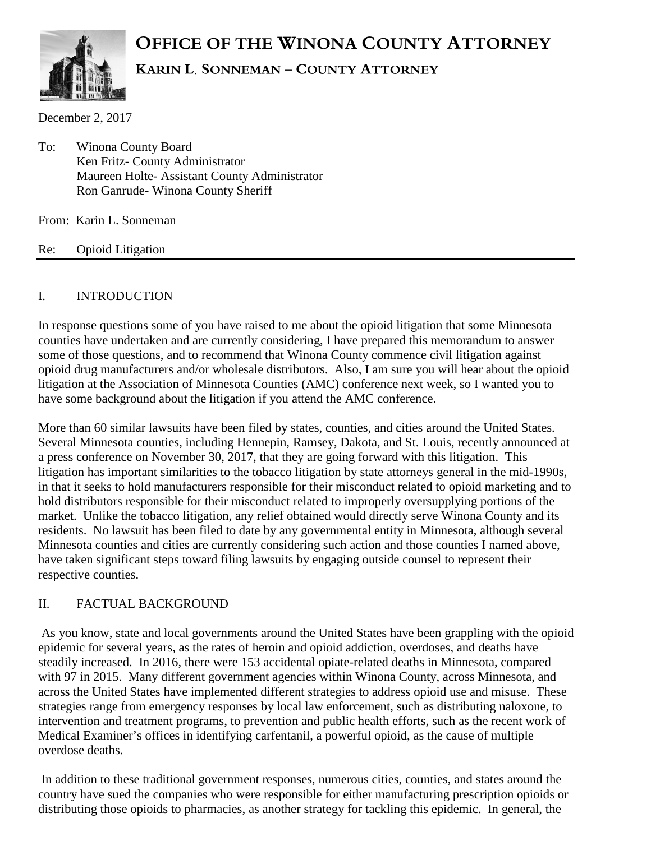# **OFFICE OF THE WINONA COUNTY ATTORNEY**



## **KARIN L. SONNEMAN – COUNTY ATTORNEY**

December 2, 2017

To: Winona County Board Ken Fritz- County Administrator Maureen Holte- Assistant County Administrator Ron Ganrude- Winona County Sheriff

From: Karin L. Sonneman

Re: Opioid Litigation

#### I. INTRODUCTION

In response questions some of you have raised to me about the opioid litigation that some Minnesota counties have undertaken and are currently considering, I have prepared this memorandum to answer some of those questions, and to recommend that Winona County commence civil litigation against opioid drug manufacturers and/or wholesale distributors. Also, I am sure you will hear about the opioid litigation at the Association of Minnesota Counties (AMC) conference next week, so I wanted you to have some background about the litigation if you attend the AMC conference.

More than 60 similar lawsuits have been filed by states, counties, and cities around the United States. Several Minnesota counties, including Hennepin, Ramsey, Dakota, and St. Louis, recently announced at a press conference on November 30, 2017, that they are going forward with this litigation. This litigation has important similarities to the tobacco litigation by state attorneys general in the mid-1990s, in that it seeks to hold manufacturers responsible for their misconduct related to opioid marketing and to hold distributors responsible for their misconduct related to improperly oversupplying portions of the market. Unlike the tobacco litigation, any relief obtained would directly serve Winona County and its residents. No lawsuit has been filed to date by any governmental entity in Minnesota, although several Minnesota counties and cities are currently considering such action and those counties I named above, have taken significant steps toward filing lawsuits by engaging outside counsel to represent their respective counties.

#### II. FACTUAL BACKGROUND

As you know, state and local governments around the United States have been grappling with the opioid epidemic for several years, as the rates of heroin and opioid addiction, overdoses, and deaths have steadily increased. In 2016, there were 153 accidental opiate-related deaths in Minnesota, compared with 97 in 2015. Many different government agencies within Winona County, across Minnesota, and across the United States have implemented different strategies to address opioid use and misuse. These strategies range from emergency responses by local law enforcement, such as distributing naloxone, to intervention and treatment programs, to prevention and public health efforts, such as the recent work of Medical Examiner's offices in identifying carfentanil, a powerful opioid, as the cause of multiple overdose deaths.

In addition to these traditional government responses, numerous cities, counties, and states around the country have sued the companies who were responsible for either manufacturing prescription opioids or distributing those opioids to pharmacies, as another strategy for tackling this epidemic. In general, the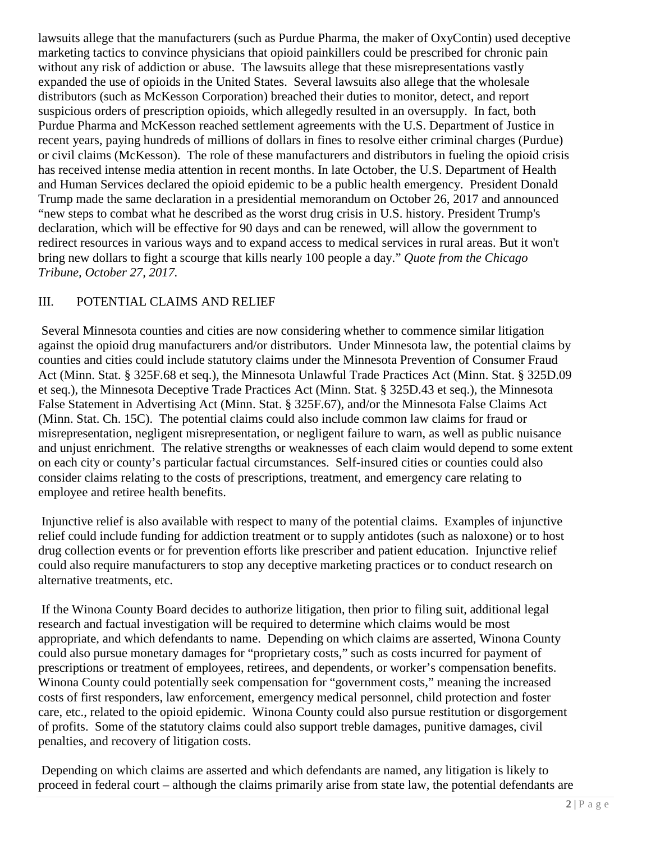lawsuits allege that the manufacturers (such as Purdue Pharma, the maker of OxyContin) used deceptive marketing tactics to convince physicians that opioid painkillers could be prescribed for chronic pain without any risk of addiction or abuse. The lawsuits allege that these misrepresentations vastly expanded the use of opioids in the United States. Several lawsuits also allege that the wholesale distributors (such as McKesson Corporation) breached their duties to monitor, detect, and report suspicious orders of prescription opioids, which allegedly resulted in an oversupply. In fact, both Purdue Pharma and McKesson reached settlement agreements with the U.S. Department of Justice in recent years, paying hundreds of millions of dollars in fines to resolve either criminal charges (Purdue) or civil claims (McKesson). The role of these manufacturers and distributors in fueling the opioid crisis has received intense media attention in recent months. In late October, the U.S. Department of Health and Human Services declared the opioid epidemic to be a public health emergency. President Donald Trump made the same declaration in a presidential memorandum on October 26, 2017 and announced "new steps to combat what he described as the worst drug crisis in U.S. history. President Trump's declaration, which will be effective for 90 days and can be renewed, will allow the government to redirect resources in various ways and to expand access to medical services in rural areas. But it won't bring new dollars to fight a scourge that kills nearly 100 people a day." *Quote from the Chicago Tribune, October 27, 2017.*

## III. POTENTIAL CLAIMS AND RELIEF

Several Minnesota counties and cities are now considering whether to commence similar litigation against the opioid drug manufacturers and/or distributors. Under Minnesota law, the potential claims by counties and cities could include statutory claims under the Minnesota Prevention of Consumer Fraud Act (Minn. Stat. § 325F.68 et seq.), the Minnesota Unlawful Trade Practices Act (Minn. Stat. § 325D.09 et seq.), the Minnesota Deceptive Trade Practices Act (Minn. Stat. § 325D.43 et seq.), the Minnesota False Statement in Advertising Act (Minn. Stat. § 325F.67), and/or the Minnesota False Claims Act (Minn. Stat. Ch. 15C). The potential claims could also include common law claims for fraud or misrepresentation, negligent misrepresentation, or negligent failure to warn, as well as public nuisance and unjust enrichment. The relative strengths or weaknesses of each claim would depend to some extent on each city or county's particular factual circumstances. Self-insured cities or counties could also consider claims relating to the costs of prescriptions, treatment, and emergency care relating to employee and retiree health benefits.

Injunctive relief is also available with respect to many of the potential claims. Examples of injunctive relief could include funding for addiction treatment or to supply antidotes (such as naloxone) or to host drug collection events or for prevention efforts like prescriber and patient education. Injunctive relief could also require manufacturers to stop any deceptive marketing practices or to conduct research on alternative treatments, etc.

If the Winona County Board decides to authorize litigation, then prior to filing suit, additional legal research and factual investigation will be required to determine which claims would be most appropriate, and which defendants to name. Depending on which claims are asserted, Winona County could also pursue monetary damages for "proprietary costs," such as costs incurred for payment of prescriptions or treatment of employees, retirees, and dependents, or worker's compensation benefits. Winona County could potentially seek compensation for "government costs," meaning the increased costs of first responders, law enforcement, emergency medical personnel, child protection and foster care, etc., related to the opioid epidemic. Winona County could also pursue restitution or disgorgement of profits. Some of the statutory claims could also support treble damages, punitive damages, civil penalties, and recovery of litigation costs.

Depending on which claims are asserted and which defendants are named, any litigation is likely to proceed in federal court – although the claims primarily arise from state law, the potential defendants are